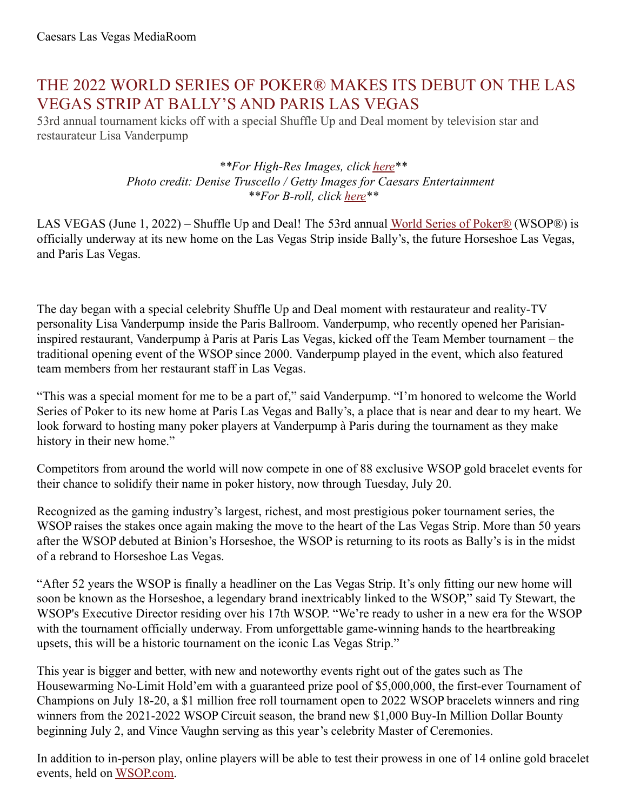## THE 2022 WORLD SERIES OF POKER® MAKES ITS DEBUT ON THE LAS VEGAS STRIP AT BALLY'S AND PARIS LAS VEGAS

53rd annual tournament kicks off with a special Shuffle Up and Deal moment by television star and restaurateur Lisa Vanderpump

> *\*\*For High-Res Images, click [here](https://www.dropbox.com/sh/p847yfmzztwuk8l/AABDj8rxdRzjUbic722DnYtha?dl=0)\*\* Photo credit: Denise Truscello / Getty Images for Caesars Entertainment \*\*For B-roll, click [here](https://drive.google.com/file/d/1FQDh7CER0rcM7RAVAfCyDv2RlCym2tUm/view)\*\**

LAS VEGAS (June 1, 2022) – Shuffle Up and Deal! The 53rd annual World Series of [Poker®](https://www.wsop.com/) (WSOP®) is officially underway at its new home on the Las Vegas Strip inside Bally's, the future Horseshoe Las Vegas, and Paris Las Vegas.

The day began with a special celebrity Shuffle Up and Deal moment with restaurateur and reality-TV personality Lisa Vanderpump inside the Paris Ballroom. Vanderpump, who recently opened her Parisianinspired restaurant, Vanderpump à Paris at Paris Las Vegas, kicked off the Team Member tournament – the traditional opening event of the WSOP since 2000. Vanderpump played in the event, which also featured team members from her restaurant staff in Las Vegas.

"This was a special moment for me to be a part of," said Vanderpump. "I'm honored to welcome the World Series of Poker to its new home at Paris Las Vegas and Bally's, a place that is near and dear to my heart. We look forward to hosting many poker players at Vanderpump à Paris during the tournament as they make history in their new home."

Competitors from around the world will now compete in one of 88 exclusive WSOP gold bracelet events for their chance to solidify their name in poker history, now through Tuesday, July 20.

Recognized as the gaming industry's largest, richest, and most prestigious poker tournament series, the WSOP raises the stakes once again making the move to the heart of the Las Vegas Strip. More than 50 years after the WSOP debuted at Binion's Horseshoe, the WSOP is returning to its roots as Bally's is in the midst of a rebrand to Horseshoe Las Vegas.

"After 52 years the WSOP is finally a headliner on the Las Vegas Strip. It's only fitting our new home will soon be known as the Horseshoe, a legendary brand inextricably linked to the WSOP," said Ty Stewart, the WSOP's Executive Director residing over his 17th WSOP. "We're ready to usher in a new era for the WSOP with the tournament officially underway. From unforgettable game-winning hands to the heartbreaking upsets, this will be a historic tournament on the iconic Las Vegas Strip."

This year is bigger and better, with new and noteworthy events right out of the gates such as The Housewarming No-Limit Hold'em with a guaranteed prize pool of \$5,000,000, the first-ever Tournament of Champions on July 18-20, a \$1 million free roll tournament open to 2022 WSOP bracelets winners and ring winners from the 2021-2022 WSOP Circuit season, the brand new \$1,000 Buy-In Million Dollar Bounty beginning July 2, and Vince Vaughn serving as this year's celebrity Master of Ceremonies.

In addition to in-person play, online players will be able to test their prowess in one of 14 online gold bracelet events, held on [WSOP.com](https://www.wsop.com/promotions/bracelet-22/nv/).